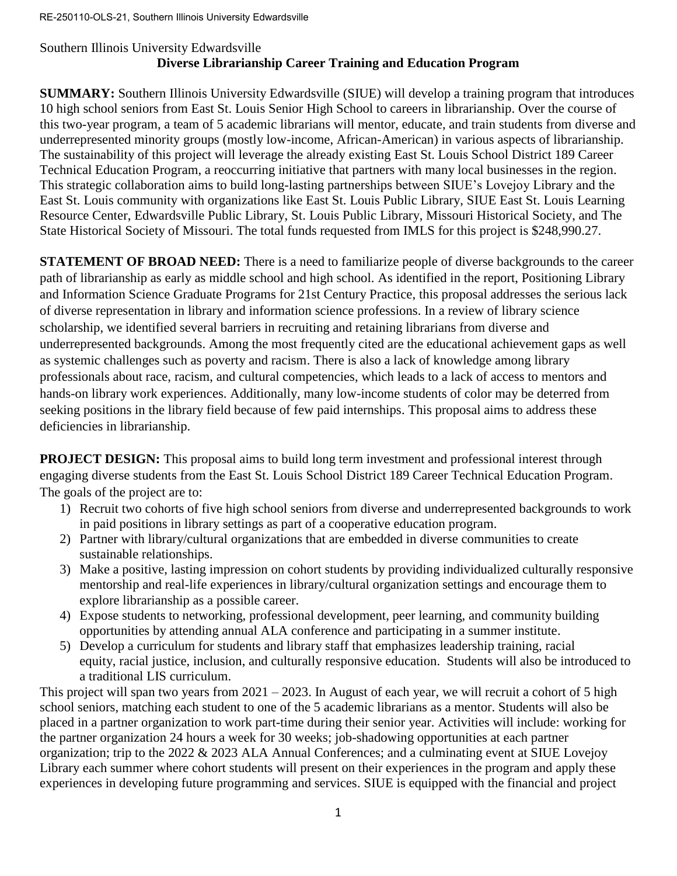## Southern Illinois University Edwardsville **Diverse Librarianship Career Training and Education Program**

**SUMMARY:** Southern Illinois University Edwardsville (SIUE) will develop a training program that introduces 10 high school seniors from East St. Louis Senior High School to careers in librarianship. Over the course of this two-year program, a team of 5 academic librarians will mentor, educate, and train students from diverse and underrepresented minority groups (mostly low-income, African-American) in various aspects of librarianship. The sustainability of this project will leverage the already existing East St. Louis School District 189 Career Technical Education Program, a reoccurring initiative that partners with many local businesses in the region. This strategic collaboration aims to build long-lasting partnerships between SIUE's Lovejoy Library and the East St. Louis community with organizations like East St. Louis Public Library, SIUE East St. Louis Learning Resource Center, Edwardsville Public Library, St. Louis Public Library, Missouri Historical Society, and The State Historical Society of Missouri. The total funds requested from IMLS for this project is \$248,990.27.

**STATEMENT OF BROAD NEED:** There is a need to familiarize people of diverse backgrounds to the career path of librarianship as early as middle school and high school. As identified in the report, Positioning Library and Information Science Graduate Programs for 21st Century Practice, this proposal addresses the serious lack of diverse representation in library and information science professions. In a review of library science scholarship, we identified several barriers in recruiting and retaining librarians from diverse and underrepresented backgrounds. Among the most frequently cited are the educational achievement gaps as well as systemic challenges such as poverty and racism. There is also a lack of knowledge among library professionals about race, racism, and cultural competencies, which leads to a lack of access to mentors and hands-on library work experiences. Additionally, many low-income students of color may be deterred from seeking positions in the library field because of few paid internships. This proposal aims to address these deficiencies in librarianship.

**PROJECT DESIGN:** This proposal aims to build long term investment and professional interest through engaging diverse students from the East St. Louis School District 189 Career Technical Education Program. The goals of the project are to:

- 1) Recruit two cohorts of five high school seniors from diverse and underrepresented backgrounds to work in paid positions in library settings as part of a cooperative education program.
- 2) Partner with library/cultural organizations that are embedded in diverse communities to create sustainable relationships.
- 3) Make a positive, lasting impression on cohort students by providing individualized culturally responsive mentorship and real-life experiences in library/cultural organization settings and encourage them to explore librarianship as a possible career.
- 4) Expose students to networking, professional development, peer learning, and community building opportunities by attending annual ALA conference and participating in a summer institute.
- 5) Develop a curriculum for students and library staff that emphasizes leadership training, racial equity, racial justice, inclusion, and culturally responsive education. Students will also be introduced to a traditional LIS curriculum.

This project will span two years from 2021 – 2023. In August of each year, we will recruit a cohort of 5 high school seniors, matching each student to one of the 5 academic librarians as a mentor. Students will also be placed in a partner organization to work part-time during their senior year. Activities will include: working for the partner organization 24 hours a week for 30 weeks; job-shadowing opportunities at each partner organization; trip to the 2022 & 2023 ALA Annual Conferences; and a culminating event at SIUE Lovejoy Library each summer where cohort students will present on their experiences in the program and apply these experiences in developing future programming and services. SIUE is equipped with the financial and project